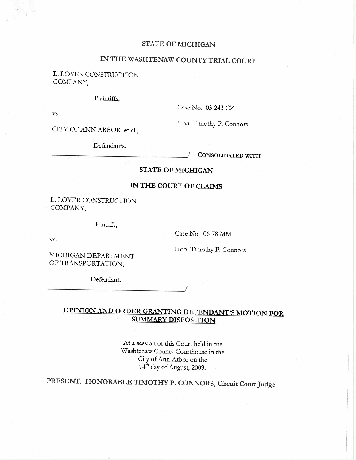#### STATE OF MICHIGAN

# IN THE WASHTENAW COUNTY TRIAL COURT

L. LOYER CONSTRUCTION COMPANY,

Plaintiffs,

vs.

'-¡

Case No. 03 243 CZ

CITY OF ANN ARBOR, et al.,

Defendants.

Hon. Timothy P. Connors

CONSOLIDATED WITH

## STATE OF MICHIGAN

## IN THE COURT OF CLAMS

L. LOYER CONSTRUCTION COMPANY,

Plaintiffs.

vs.

Case No. 06 78 MM

Hon. Timothy P. Connors

MICHIGAN DEPARTMENT OF TRANSPORTATION,

Defendant.

## OPINION AND ORDER GRATING DEFENDANT'S MOTION FOR SUMMARY DISPOSITION

/

At a session of ths Court held in the Washtenaw County Courthouse in the City of Ann Arbor on the  $14^{\text{th}}$  day of August, 2009.

PRESENT: HONORABLE TIMOTHY P. CONNORS, Circuit Court Judge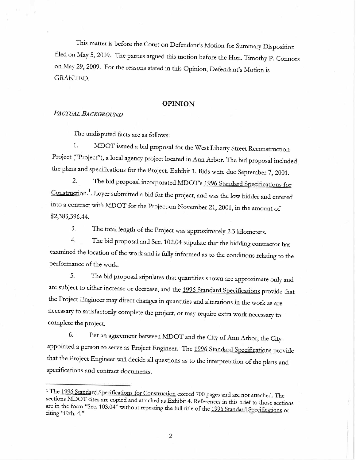This matter is before the Court on Defendant's Motion for Summary Disposition filed on May 5, 2009. The parties argued this motion before the Hon. Timothy P. Connors on May 29,2009. For the reasons stated in ths Opinon, Defendant's Motion is GRANTED.

#### OPINION

### FACTUAL BACKGROUND

The undisputed facts are as follows:

1. MDOT issued a bid proposal for the West Liberty Street Reconstruction Project ("Project"), a local agency project located in Ann Arbor. The bid proposal included the plans and specifications for the Project. Exhibit 1. Bids were due September 7, 2001.

2. The bid proposal incorporated MDOT's 1996 Standard Specifications for Construction.<sup>1</sup>. Loyer submitted a bid for the project, and was the low bidder and entered into a contract with MDOT for the Project on November 21, 2001, in the amount of \$2,383,396.44.

3. The total length of the Project was approximately 2.3 kilometers.

4. The bid proposal and Sec. 102.04 stipulate that the biddig contractor has examined the location of the work and is fully informed as to the conditions relating to the performance of the work.

5. The bid proposal stipulates that quantities shown are approximate only and are subject to either increase or decrease, and the 1996 Standard Specifications provide that the Project Engineer may direct changes in quantities and alterations in the work as are necessary to satisfactoriy complete the project, or may requie extra work necessary to complete the project.

6. Per an agreement between MDOT and the City of Ann Arbor, the City appointed a person to serve as Project Engineer. The 1996 Standard Specifications provide that the Project Engineer will decide all questions as to the interpretation of the plans and specifications and contract documents.

<sup>&</sup>lt;sup>1</sup> The 1996 Standard Specifications for Construction exceed 700 pages and are not attached. The sections MDOT cites are copied and attached as Exhibit 4. References in this brief to those sections are in the form "Sec. 103.04" without repeating the full title of the 1996 Standard Specifications or citing "Exh. 4."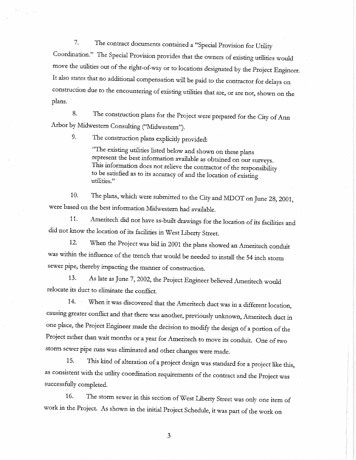7. The contract documents contained a "Special Provision for Utility Coordination." The Special Provision provides that the owners of existing utilities would move the utilities out of the right-of-way or to locations designated by the Project Engineer. It also states that no additional compensation will be paid to the contractor for delays on construction due to the encountering of existing utilities that are, or are not, shown on the plans.

8. The construction plans for the Project were prepared for the City of Ann Arbor by Midwestern Consulting ("Midwestern").

9. The construction plans explicitly provided:

"The existing utilities listed below and shown on these plans represent the best information available as obtained on our surveys. This information does not relieve the contractor of the responsibilty to be satisfied as to its accuracy of and the location of existig utilities."

10. The plans, which were submitted to the City and MDOT onJune 28, 2001, were based on the best information Midwestern had available.

11. Ameritech did not have as-buit drawigs for the location of its facilties and did not know the location of its facilties in West Liberty Street.

12. When the Project was bid in 2001 the plans showed an Ameritech conduit was within the influence of the trench that would be needed to install the 54 inch storm sewer pipe, thereby impacting the manner of construction.

13. As late as June 7, 2002, the Project Engineer believed Ameritech would relocate its duct to eliminate the conflict.

14. When it was discovered that the Ameritech duct was in a different location, causing greater conflict and that there was another, previously unknown, Ameritech duct in one place, the Project Engineer made the decision to modify the design of a portion of the Project rather than wait months or a year for Ameritech to move its conduit. One of two storm sewer pipe runs was eliminated and other changes were made.

15. This kind of alteration of a project design was standard for a project like this, as consistent with the utility coordination requirements of the contract and the Project was successfully completed.

16. The storm sewer in ths section of West Liberty Street was only one item of work in the Project. As shown in the intial Project Schedule, it was part of the work on

3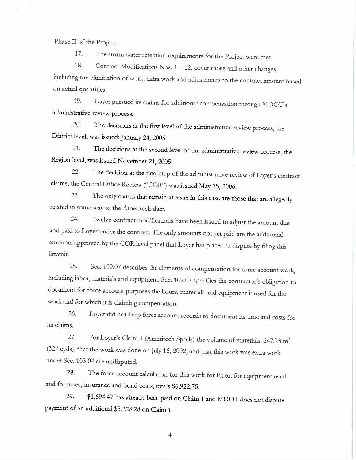Phase II of the Project.

17. The storm water retention requirements for the Project were met.

18. Contract Modifications Nos. 1 - 12, cover those and other changes, including the elimination of work, extra work and adjustments to the contract amount based on actual quantities.

19. Loyer pursued its claims for additional compensation through MDOT's administrative review process.

20. The decisions at the first level of the administrative review process, the District level, was issued: January 24, 2005.

21. The decisions at the second level of the administrative review process, the Region level, was issued November 21,2005.

22. The decision at the final step of the administrative review of Loyer's contract claims, the Central Office Review ("COR") was issued May 15, 2006.

23. The only claims that remain at issue in this case are those that are allegedly related in some way to the Ameritech duct.

24. Twelve contract modifications have been issued to adjust the amount due and paid to Loyer under the contract. The only amounts not yet paid are the additional amounts approved by the COR level panel that Loyer has placed in dispute by filing this lawsuit.

25. Sec. 109.07 descnbes the elements of compensation for force account work, includig labor, materials and equipment. Sec. 109.07 specifies the contractor's obligation to document for force account puroses the hours, matenals and equipment it used for the work and for which it is claiming compensation.

26. Loyer did not keep force account records to document its time and costs for its claims

27. For Loyer's Claim 1 (Ameritech Spoils) the volume of materials, 247.73 m<sup>3</sup> (324 cyds), that the work was done on July 16, 2002, and that ths work was extra work under Sec. 103.04 are undisputed.

28. The force account calculation for ths work for labor, for equipment used and for taxes, insurance and bond costs, totals \$6,922.75.

29. \$1,694.47 has already been paid on Claim 1 and MDOT does not dispute payment of an additional \$5,228.28 on Claim 1.

4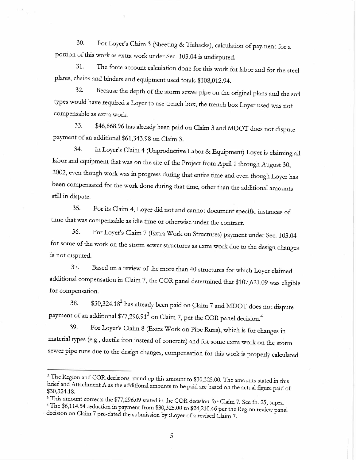30. For Loyer's Claim 3 (Sheeting & Tiebacks), calculation of payment for a portion of ths work as extra work under Sec. 103.04 is undisputed.

31. The force account calculation done for ths work for labor and for the steel plates, chains and binders and equipment used totals \$108,012.94.

32. Because the depth of the storm sewer pipe on the origial plans and the soil tyes would have requied a Loyer to use trench box, the trench box Loyer used was not compensable as extra work.

33. \$46,668.96 has already been paid on Claim 3 and MDOT does not dispute payment of an additional \$61,343.98 on Claim 3.

34. In Loyer's Claim 4 (Unproductive Labor & Equipment) Loyer is claiming all labor and equipment that was on the site of the Project from April 1 through August 30, 2002, even though work was in progress during that entire time and even though Loyer has been compensated for the work done during that time, other than the additional amounts still in dispute.

35. For its Claim 4, Loyer did not and cannot document specific instances of time that was compensable as idle time or otherwise under the contract.

36. For Loyer's Claim 7 (Extra Work on Structures) payment under Sec. 103.04 for some of the work on the storm sewer structures as extra work due to the design changes is not disputed.

37. Based on a review of the more than 40 structures for which Loyer claimed additional compensation in Claim 7, the COR panel determined that \$107,621.09 was eligible for compensation.

38. \$30,324.182 has already been paid on Claim 7 and MDOT does not dispute payment of an additional \$77,296.91<sup>3</sup> on Claim 7, per the COR panel decision.<sup>4</sup>

39. For Loyer's Claim 8 (Extra Work on Pipe Runs), which is for changes in material types (e.g., ductile iron instead of concrete) and for some extra work on the storm sewer pipe runs due to the design changes, compensation for this work is properly calculated

<sup>&</sup>lt;sup>2</sup> The Region and COR decisions round up this amount to \$30,325.00. The amounts stated in this brief and Attachment A as the additional amounts to be paid are based on the actual figure paid of \$30,324.18.

<sup>&</sup>lt;sup>3</sup> This amount corrects the \$77,296.09 stated in the COR decision for Claim 7. See fn. 25, supra. 4 The \$6,114.54 reduction in payment from \$30,325.00 to \$24,210.46 per the Region review panel decision on Claim 7 pre-dated the submission by :Loyer of a revised Claim 7.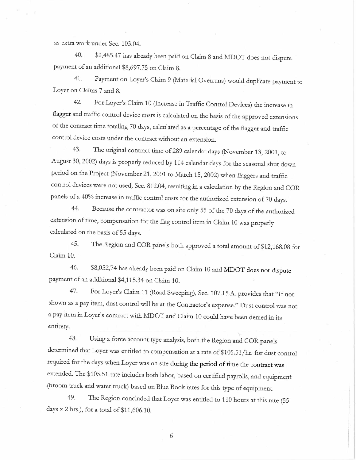as extra work under Sec. 103.04.

40. \$2,485.47 has already been paid on Claim 8 and MDOT does not dispute payment of an additional \$8,697.75 on Claim 8.

41. Payment on Loyer's Claim 9 (Material Overruns) would duplicate payment to Loyer on Clains 7 and 8.

42. For Loyer's Claim 10 (Increase in Traffic Control Devices) the increase in flagger and traffic control device costs is calculated on the basis of the approved extensions of the contract time totaling 70 days, calculated as a percentage of the flagger and traffic control device costs under the contract without an extension.

43. The original contract time of 289 calendar days (November 13, 2001, to August 30, 2002) days is properly reduced by 114 calendar days for the seasonal shut down period on the Project (November 21,2001 to March 15,2002) when flaggers and traffic control devices were not used, Sec. 812.04, resultig in a calculation by the Region and COR panels of a 40% increase in traffic control costs for the authorized extension of 70 days.

44. Because the contractor was on site only 55 of the 70 days of the authorized extension of time, compensation for the flag control item in Claim 10 was properly calculated on the basis of 55 days.

45. The Region and COR panels both approved a total amount of \$12,168.08 for Claim 10.

46. \$8,052,74 has already been paid on Clain 10 and MDOT does not dispute payment of an additional \$4,115.34 on Claim 10.

47. For Loyer's Claim 11 (Road Sweeping), Sec. 107.15.A. provides that "If not shown as a pay item, dust control will be at the Contractor's expense." Dust control was not a pay item in Loyer's contract with MDOT and Claim 10 could have been denied in its entirety.

48. Using a force account tye analysis, both the Region and COR panels determined that Loyer was entitled to compensation at a rate of \$105.51/hr. for dust control required for the days when Loyer was on site during the period of time the contract was extended. The \$105.51 rate includes both labor, based on certified payrolls, and equipment (broom truck and water truck) based on Blue Book rates for this type of equipment.

49. The Region concluded that Loyer was entitled to 110 hours at this rate (55 days  $x$  2 hrs.), for a total of \$11,606.10.

6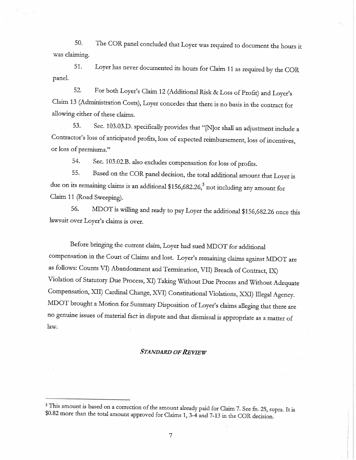SO. The COR panel concluded that Loyer was requied to document the hours it was claiming.

51. Loyer has never documented its hours for Claim 11 as requied by the COR panel.

52. For both Loyer's Claim 12 (Additional Risk & Loss of Profit) and Loyer's Claim 13 (Administration Costs), Loyer concedes that there is no basis in the contract for allowing either of these claims.

53. Sec. 103.03.D. specifically provides that "[N]or shall an adjustment include a Contractor's loss of anticipated profits, loss of expected reimbursement, loss of incentives, or loss of premiums."

54. Sec. 103.02.B. also excludes compensation for loss of profits.

55. Based on the COR panel decision, the total additional amount that Loyer is due on its remaining claims is an additional  $$156,682.26$ , not including any amount for Clain 11 (Road Sweeping).

56. MDOT is willing and ready to pay Loyer the additional \$156,682.26 once this lawsuit over Loyer's claims is over.

Before bringing the current claim, Loyer had sued MDOT for additional compensation in the Court of Claims and lost. Loyer's remaining claims against MDOT are as follows: Counts VI) Abandonment and Termination, VII) Breach of Contract, IX) Violation of Statutory Due Process, XI) Taking Without Due Process and Without Adequate Compensation, XII) Cardinal Change, XVI) Constitutional Violations, XXI) Illegal Agency. MDOT brought a Motion for Summary Disposition of Loyer's claims alleging that there are no genuine issues of material fact in dispute and that dismissal is appropriate as a matter of law.

#### STANDARD OF REVIEW

<sup>&</sup>lt;sup>5</sup> This amount is based on a correction of the amount already paid for Claim 7. See fn. 25, supra. It is \$0.82 more than the total amount approved for Claims 1, 3-4 and 7-13 in the COR decision.